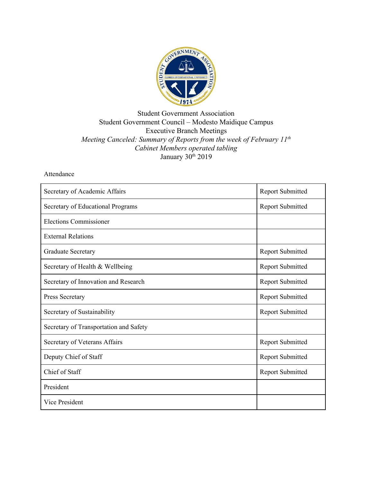

## Student Government Association Student Government Council – Modesto Maidique Campus Executive Branch Meetings *Meeting Canceled: Summary of Reports from the week of February 11th Cabinet Members operated tabling* January 30<sup>th</sup> 2019

## Attendance

| Secretary of Academic Affairs          | <b>Report Submitted</b> |
|----------------------------------------|-------------------------|
| Secretary of Educational Programs      | <b>Report Submitted</b> |
| <b>Elections Commissioner</b>          |                         |
| <b>External Relations</b>              |                         |
| <b>Graduate Secretary</b>              | <b>Report Submitted</b> |
| Secretary of Health & Wellbeing        | <b>Report Submitted</b> |
| Secretary of Innovation and Research   | <b>Report Submitted</b> |
| Press Secretary                        | <b>Report Submitted</b> |
| Secretary of Sustainability            | <b>Report Submitted</b> |
| Secretary of Transportation and Safety |                         |
| Secretary of Veterans Affairs          | <b>Report Submitted</b> |
| Deputy Chief of Staff                  | <b>Report Submitted</b> |
| Chief of Staff                         | <b>Report Submitted</b> |
| President                              |                         |
| Vice President                         |                         |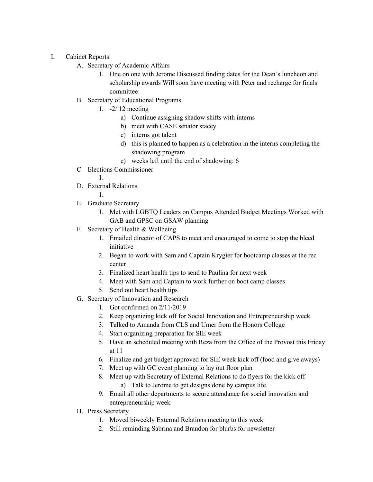- I. Cabinet Reports
	- A. Secretary of Academic Affairs
		- 1. One on one with Jerome Discussed finding dates for the Dean's luncheon and scholarship awards Will soon have meeting with Peter and recharge for finals committee
	- B. Secretary of Educational Programs
		- 1. -2/ 12 meeting
			- a) Continue assigning shadow shifts with interns
			- b) meet with CASE senator stacey
			- c) interns got talent
			- d) this is planned to happen as a celebration in the interns completing the shadowing program
			- e) weeks left until the end of shadowing: 6
	- C. Elections Commissioner
		- 1.
	- D. External Relations
		- 1.
	- E. Graduate Secretary
		- 1. Met with LGBTQ Leaders on Campus Attended Budget Meetings Worked with GAB and GPSC on GSAW planning
	- F. Secretary of Health & Wellbeing
		- 1. Emailed director of CAPS to meet and encouraged to come to stop the bleed initiative
		- 2. Began to work with Sam and Captain Krygier for bootcamp classes at the rec center
		- 3. Finalized heart health tips to send to Paulina for next week
		- 4. Meet with Sam and Captain to work further on boot camp classes
		- 5. Send out heart health tips
	- G. Secretary of Innovation and Research
		- 1. Got confirmed on 2/11/2019
		- 2. Keep organizing kick off for Social Innovation and Entrepreneurship week
		- 3. Talked to Amanda from CLS and Umer from the Honors College
		- 4. Start organizing preparation for SIE week
		- 5. Have an scheduled meeting with Reza from the Office of the Provost this Friday at 11
		- 6. Finalize and get budget approved for SIE week kick off (food and give aways)
		- 7. Meet up with GC event planning to lay out floor plan
		- 8. Meet up with Secretary of External Relations to do flyers for the kick off
			- a) Talk to Jerome to get designs done by campus life.
		- 9. Email all other departments to secure attendance for social innovation and entrepreneurship week
	- H. Press Secretary
		- 1. Moved biweekly External Relations meeting to this week
		- 2. Still reminding Sabrina and Brandon for blurbs for newsletter